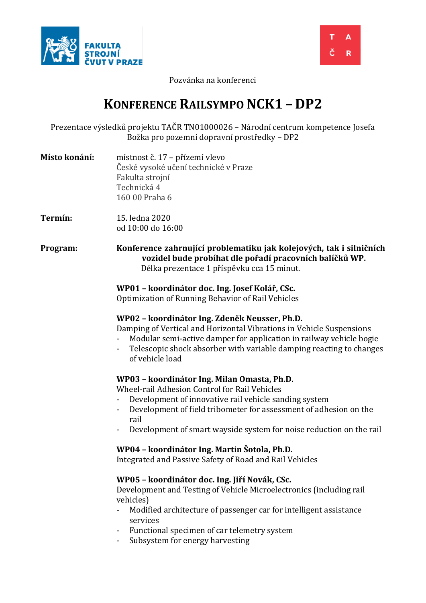



Pozvánka na konferenci

# **KONFERENCE RAILSYMPO NCK1 – DP2**

Prezentace výsledků projektu TAČR TN01000026 – Národní centrum kompetence Josefa Božka pro pozemní dopravní prostředky – DP2

| Místo konání: | místnost č. 17 – přízemí vlevo       |
|---------------|--------------------------------------|
|               | České vysoké učení technické v Praze |
|               | Fakulta strojní                      |
|               | Technická 4                          |
|               | 160 00 Praha 6                       |

**Termín:** 15. ledna 2020 od 10:00 do 16:00

**Program: Konference zahrnující problematiku jak kolejových, tak i silničních vozidel bude probíhat dle pořadí pracovních balíčků WP.** Délka prezentace 1 příspěvku cca 15 minut.

# **WP01 – koordinátor doc. Ing. Josef Kolář, CSc.**

Optimization of Running Behavior of Rail Vehicles

# **WP02 – koordinátor Ing. Zdeněk Neusser, Ph.D.**

Damping of Vertical and Horizontal Vibrations in Vehicle Suspensions

- Modular semi-active damper for application in railway vehicle bogie
- Telescopic shock absorber with variable damping reacting to changes of vehicle load

# **WP03 – koordinátor Ing. Milan Omasta, Ph.D.**

Wheel-rail Adhesion Control for Rail Vehicles

- Development of innovative rail vehicle sanding system
- Development of field tribometer for assessment of adhesion on the rail
- Development of smart wayside system for noise reduction on the rail

# **WP04 – koordinátor Ing. Martin Šotola, Ph.D.**

Integrated and Passive Safety of Road and Rail Vehicles

# **WP05 – koordinátor doc. Ing. Jiří Novák, CSc.**

Development and Testing of Vehicle Microelectronics (including rail vehicles)

- Modified architecture of passenger car for intelligent assistance services
- Functional specimen of car telemetry system
- Subsystem for energy harvesting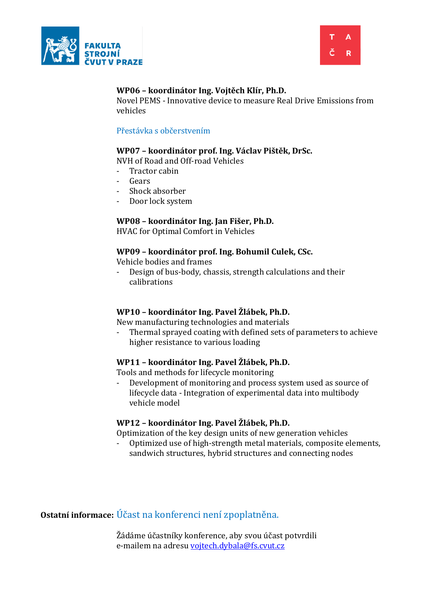



# **WP06 – koordinátor Ing. Vojtěch Klír, Ph.D.**

Novel PEMS - Innovative device to measure Real Drive Emissions from vehicles

#### Přestávka s občerstvením

# **WP07 – koordinátor prof. Ing. Václav Pištěk, DrSc.**

NVH of Road and Off-road Vehicles

- Tractor cabin
- Gears
- Shock absorber
- Door lock system

# **WP08 – koordinátor Ing. Jan Fišer, Ph.D.**

HVAC for Optimal Comfort in Vehicles

#### **WP09 – koordinátor prof. Ing. Bohumil Culek, CSc.**

Vehicle bodies and frames

Design of bus-body, chassis, strength calculations and their calibrations

# **WP10 – koordinátor Ing. Pavel Žlábek, Ph.D.**

New manufacturing technologies and materials

- Thermal sprayed coating with defined sets of parameters to achieve higher resistance to various loading

# **WP11 – koordinátor Ing. Pavel Žlábek, Ph.D.**

Tools and methods for lifecycle monitoring

- Development of monitoring and process system used as source of lifecycle data - Integration of experimental data into multibody vehicle model

#### **WP12 – koordinátor Ing. Pavel Žlábek, Ph.D.**

Optimization of the key design units of new generation vehicles

- Optimized use of high-strength metal materials, composite elements, sandwich structures, hybrid structures and connecting nodes

**Ostatní informace:** Účast na konferenci není zpoplatněna.

Žádáme účastníky konference, aby svou účast potvrdili e-mailem na adresu [vojtech.dybala@fs.cvut.cz](mailto:vojtech.dybala@fs.cvut.cz)